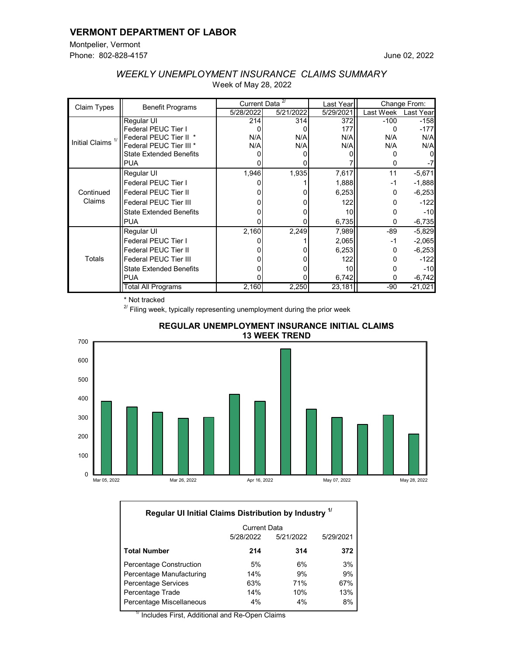## **VERMONT DEPARTMENT OF LABOR**

Montpelier, Vermont Phone: 802-828-4157

| Claim Types                  | <b>Benefit Programs</b>        | Current Data <sup>27</sup> |           | Last Year | Change From: |           |
|------------------------------|--------------------------------|----------------------------|-----------|-----------|--------------|-----------|
|                              |                                | 5/28/2022                  | 5/21/2022 | 5/29/2021 | Last Week    | Last Year |
| Initial Claims <sup>1/</sup> | Regular UI                     | 214                        | 314       | 372       | $-100$       | $-158$    |
|                              | <b>Federal PEUC Tier I</b>     |                            |           | 177       |              | $-177$    |
|                              | Federal PEUC Tier II *         | N/A                        | N/A       | N/A       | N/A          | N/A       |
|                              | Federal PEUC Tier III *        | N/A                        | N/A       | N/A       | N/A          | N/A       |
|                              | <b>State Extended Benefits</b> |                            |           |           |              |           |
|                              | <b>PUA</b>                     |                            |           |           |              |           |
| Continued<br>Claims          | Regular UI                     | 1,946                      | 1,935     | 7,617     | 11           | $-5,671$  |
|                              | Federal PEUC Tier I            |                            |           | 1,888     | $-1$         | $-1,888$  |
|                              | <b>Federal PEUC Tier II</b>    |                            |           | 6,253     | 0            | $-6,253$  |
|                              | <b>Federal PEUC Tier III</b>   |                            |           | 122       | n            | $-122$    |
|                              | <b>State Extended Benefits</b> |                            |           | 10        |              | $-10$     |
|                              | <b>IPUA</b>                    |                            |           | 6,735     | 0            | $-6,735$  |
| Totals                       | Regular UI                     | 2,160                      | 2,249     | 7,989     | $-89$        | $-5,829$  |
|                              | Federal PEUC Tier I            |                            |           | 2,065     | -1           | $-2,065$  |
|                              | <b>Federal PEUC Tier II</b>    |                            |           | 6,253     | 0            | $-6,253$  |
|                              | <b>Federal PEUC Tier III</b>   |                            |           | 122       |              | $-122$    |
|                              | <b>State Extended Benefits</b> |                            |           | 10        |              | $-10$     |
|                              | IPUA                           |                            |           | 6,742     | 0            | $-6,742$  |
|                              | Total All Programs             | 2,160                      | 2,250     | 23,181    | $-90$        | $-21,021$ |

# *WEEKLY UNEMPLOYMENT INSURANCE CLAIMS SUMMARY* Week of May 28, 2022

\* Not tracked

 $2^{2}$  Filing week, typically representing unemployment during the prior week



#### **REGULAR UNEMPLOYMENT INSURANCE INITIAL CLAIMS 13 WEEK TREND**

| Regular UI Initial Claims Distribution by Industry 1/ |                     |           |           |  |  |  |
|-------------------------------------------------------|---------------------|-----------|-----------|--|--|--|
|                                                       | <b>Current Data</b> |           |           |  |  |  |
|                                                       | 5/28/2022           | 5/21/2022 | 5/29/2021 |  |  |  |
| <b>Total Number</b>                                   | 214                 | 314       | 372       |  |  |  |
| <b>Percentage Construction</b>                        | 5%                  | 6%        | 3%        |  |  |  |
| Percentage Manufacturing                              | 14%                 | 9%        | 9%        |  |  |  |
| Percentage Services                                   | 63%                 | 71%       | 67%       |  |  |  |
| Percentage Trade                                      | 14%                 | 10%       | 13%       |  |  |  |
| Percentage Miscellaneous                              | 4%                  | 4%        | 8%        |  |  |  |

 $'$  Includes First, Additional and Re-Open Claims